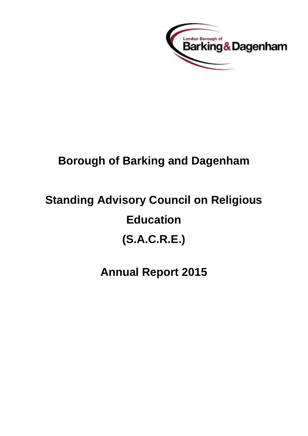

## **Borough of Barking and Dagenham**

# **Standing Advisory Council on Religious Education (S.A.C.R.E.)**

## **Annual Report 2015**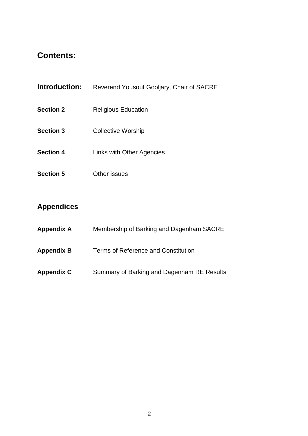## **Contents:**

| <b>Introduction:</b> | Reverend Yousouf Gooljary, Chair of SACRE |
|----------------------|-------------------------------------------|
| <b>Section 2</b>     | <b>Religious Education</b>                |
| <b>Section 3</b>     | <b>Collective Worship</b>                 |
| <b>Section 4</b>     | Links with Other Agencies                 |
| <b>Section 5</b>     | Other issues                              |

## **Appendices**

- **Appendix A** Membership of Barking and Dagenham SACRE
- **Appendix B** Terms of Reference and Constitution
- **Appendix C** Summary of Barking and Dagenham RE Results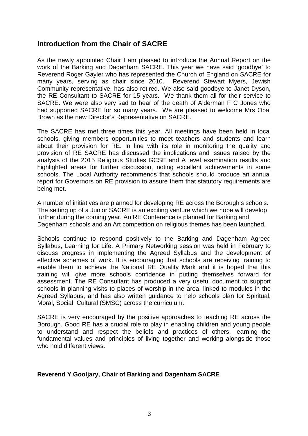#### **Introduction from the Chair of SACRE**

As the newly appointed Chair I am pleased to introduce the Annual Report on the work of the Barking and Dagenham SACRE. This year we have said 'goodbye' to Reverend Roger Gayler who has represented the Church of England on SACRE for many years, serving as chair since 2010. Reverend Stewart Myers, Jewish Community representative, has also retired. We also said goodbye to Janet Dyson, the RE Consultant to SACRE for 15 years. We thank them all for their service to SACRE. We were also very sad to hear of the death of Alderman F C Jones who had supported SACRE for so many years. We are pleased to welcome Mrs Opal Brown as the new Director's Representative on SACRE.

The SACRE has met three times this year. All meetings have been held in local schools, giving members opportunities to meet teachers and students and learn about their provision for RE. In line with its role in monitoring the quality and provision of RE SACRE has discussed the implications and issues raised by the analysis of the 2015 Religious Studies GCSE and A level examination results and highlighted areas for further discussion, noting excellent achievements in some schools. The Local Authority recommends that schools should produce an annual report for Governors on RE provision to assure them that statutory requirements are being met.

A number of initiatives are planned for developing RE across the Borough's schools. The setting up of a Junior SACRE is an exciting venture which we hope will develop further during the coming year. An RE Conference is planned for Barking and Dagenham schools and an Art competition on religious themes has been launched.

Schools continue to respond positively to the Barking and Dagenham Agreed Syllabus, Learning for Life. A Primary Networking session was held in February to discuss progress in implementing the Agreed Syllabus and the development of effective schemes of work. It is encouraging that schools are receiving training to enable them to achieve the National RE Quality Mark and it is hoped that this training will give more schools confidence in putting themselves forward for assessment. The RE Consultant has produced a very useful document to support schools in planning visits to places of worship in the area, linked to modules in the Agreed Syllabus, and has also written guidance to help schools plan for Spiritual, Moral, Social, Cultural (SMSC) across the curriculum.

SACRE is very encouraged by the positive approaches to teaching RE across the Borough. Good RE has a crucial role to play in enabling children and young people to understand and respect the beliefs and practices of others, learning the fundamental values and principles of living together and working alongside those who hold different views.

#### **Reverend Y Gooljary, Chair of Barking and Dagenham SACRE**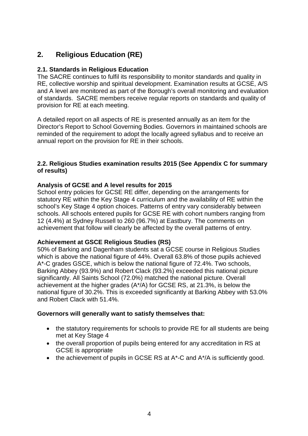### **2. Religious Education (RE)**

#### **2.1. Standards in Religious Education**

The SACRE continues to fulfil its responsibility to monitor standards and quality in RE, collective worship and spiritual development. Examination results at GCSE, A/S and A level are monitored as part of the Borough's overall monitoring and evaluation of standards. SACRE members receive regular reports on standards and quality of provision for RE at each meeting.

A detailed report on all aspects of RE is presented annually as an item for the Director's Report to School Governing Bodies. Governors in maintained schools are reminded of the requirement to adopt the locally agreed syllabus and to receive an annual report on the provision for RE in their schools.

#### **2.2. Religious Studies examination results 2015 (See Appendix C for summary of results)**

#### **Analysis of GCSE and A level results for 2015**

School entry policies for GCSE RE differ, depending on the arrangements for statutory RE within the Key Stage 4 curriculum and the availability of RE within the school's Key Stage 4 option choices. Patterns of entry vary considerably between schools. All schools entered pupils for GCSE RE with cohort numbers ranging from 12 (4.4%) at Sydney Russell to 260 (96.7%) at Eastbury. The comments on achievement that follow will clearly be affected by the overall patterns of entry.

#### **Achievement at GSCE Religious Studies (RS)**

50% of Barking and Dagenham students sat a GCSE course in Religious Studies which is above the national figure of 44%. Overall 63.8% of those pupils achieved A\*-C grades GSCE, which is below the national figure of 72.4%. Two schools, Barking Abbey (93.9%) and Robert Clack (93.2%) exceeded this national picture significantly. All Saints School (72.0%) matched the national picture. Overall achievement at the higher grades (A\*/A) for GCSE RS, at 21.3%, is below the national figure of 30.2%. This is exceeded significantly at Barking Abbey with 53.0% and Robert Clack with 51.4%.

#### **Governors will generally want to satisfy themselves that:**

- the statutory requirements for schools to provide RE for all students are being met at Key Stage 4
- the overall proportion of pupils being entered for any accreditation in RS at GCSE is appropriate
- the achievement of pupils in GCSE RS at A\*-C and A\*/A is sufficiently good.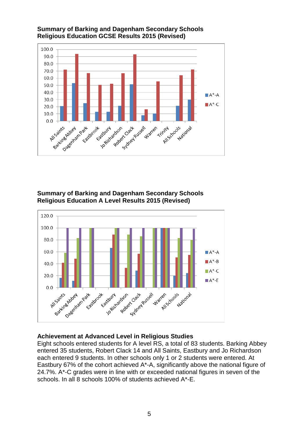

#### **Summary of Barking and Dagenham Secondary Schools Religious Education GCSE Results 2015 (Revised)**

#### **Summary of Barking and Dagenham Secondary Schools Religious Education A Level Results 2015 (Revised)**



#### **Achievement at Advanced Level in Religious Studies**

Eight schools entered students for A level RS, a total of 83 students. Barking Abbey entered 35 students, Robert Clack 14 and All Saints, Eastbury and Jo Richardson each entered 9 students. In other schools only 1 or 2 students were entered. At Eastbury 67% of the cohort achieved A\*-A, significantly above the national figure of 24.7%. A\*-C grades were in line with or exceeded national figures in seven of the schools. In all 8 schools 100% of students achieved A\*-E.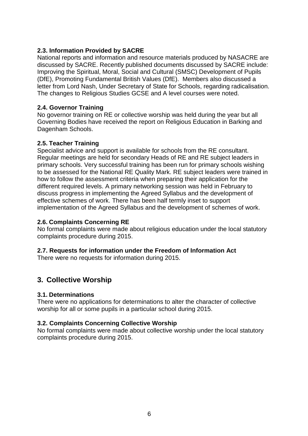#### **2.3. Information Provided by SACRE**

National reports and information and resource materials produced by NASACRE are discussed by SACRE. Recently published documents discussed by SACRE include: Improving the Spiritual, Moral, Social and Cultural (SMSC) Development of Pupils (DfE), Promoting Fundamental British Values (DfE). Members also discussed a letter from Lord Nash, Under Secretary of State for Schools, regarding radicalisation. The changes to Religious Studies GCSE and A level courses were noted.

#### **2.4. Governor Training**

No governor training on RE or collective worship was held during the year but all Governing Bodies have received the report on Religious Education in Barking and Dagenham Schools.

#### **2.5. Teacher Training**

Specialist advice and support is available for schools from the RE consultant. Regular meetings are held for secondary Heads of RE and RE subject leaders in primary schools. Very successful training has been run for primary schools wishing to be assessed for the National RE Quality Mark. RE subject leaders were trained in how to follow the assessment criteria when preparing their application for the different required levels. A primary networking session was held in February to discuss progress in implementing the Agreed Syllabus and the development of effective schemes of work. There has been half termly inset to support implementation of the Agreed Syllabus and the development of schemes of work.

#### **2.6. Complaints Concerning RE**

No formal complaints were made about religious education under the local statutory complaints procedure during 2015.

#### **2.7. Requests for information under the Freedom of Information Act**

There were no requests for information during 2015.

#### **3. Collective Worship**

#### **3.1. Determinations**

There were no applications for determinations to alter the character of collective worship for all or some pupils in a particular school during 2015.

#### **3.2. Complaints Concerning Collective Worship**

No formal complaints were made about collective worship under the local statutory complaints procedure during 2015.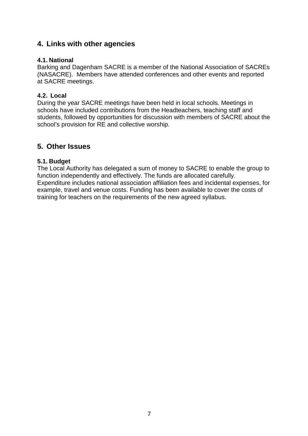#### **4. Links with other agencies**

#### **4.1. National**

Barking and Dagenham SACRE is a member of the National Association of SACREs (NASACRE). Members have attended conferences and other events and reported at SACRE meetings.

#### **4.2. Local**

During the year SACRE meetings have been held in local schools. Meetings in schools have included contributions from the Headteachers, teaching staff and students, followed by opportunities for discussion with members of SACRE about the school's provision for RE and collective worship.

#### **5. Other Issues**

#### **5.1. Budget**

The Local Authority has delegated a sum of money to SACRE to enable the group to function independently and effectively. The funds are allocated carefully. Expenditure includes national association affiliation fees and incidental expenses, for example, travel and venue costs. Funding has been available to cover the costs of training for teachers on the requirements of the new agreed syllabus.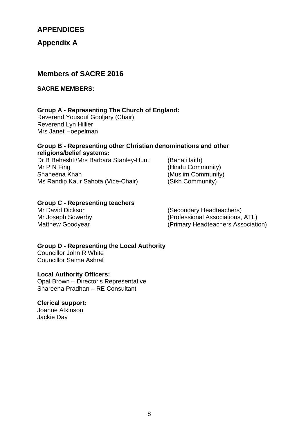#### **APPENDICES**

**Appendix A**

#### **Members of SACRE 2016**

#### **SACRE MEMBERS:**

#### **Group A - Representing The Church of England:**

Reverend Yousouf Gooljary (Chair) Reverend Lyn Hillier Mrs Janet Hoepelman

#### **Group B - Representing other Christian denominations and other religions/belief systems:**

Dr B Beheshti/Mrs Barbara Stanley-Hunt (Baha'i faith) Mr P N Fing (Hindu Community)<br>
Shaheena Khan (Muslim Community) Ms Randip Kaur Sahota (Vice-Chair)

(Muslim Community)<br>(Sikh Community)

#### **Group C - Representing teachers**

Mr David Dickson (Secondary Headteachers) Mr Joseph Sowerby (Professional Associations, ATL) Matthew Goodyear (Primary Headteachers Association)

#### **Group D - Representing the Local Authority**  Councillor John R White

Councillor Saima Ashraf

#### **Local Authority Officers:**

Opal Brown – Director's Representative Shareena Pradhan – RE Consultant

#### **Clerical support:**

Joanne Atkinson Jackie Day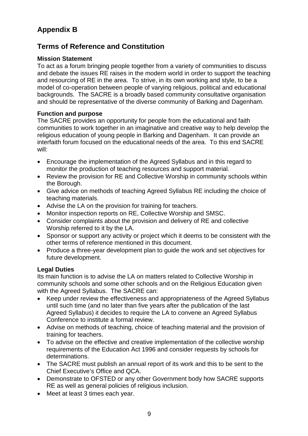## **Appendix B**

### **Terms of Reference and Constitution**

#### **Mission Statement**

To act as a forum bringing people together from a variety of communities to discuss and debate the issues RE raises in the modern world in order to support the teaching and resourcing of RE in the area. To strive, in its own working and style, to be a model of co-operation between people of varying religious, political and educational backgrounds. The SACRE is a broadly based community consultative organisation and should be representative of the diverse community of Barking and Dagenham.

#### **Function and purpose**

The SACRE provides an opportunity for people from the educational and faith communities to work together in an imaginative and creative way to help develop the religious education of young people in Barking and Dagenham. It can provide an interfaith forum focused on the educational needs of the area. To this end SACRE will:

- Encourage the implementation of the Agreed Syllabus and in this regard to monitor the production of teaching resources and support material.
- Review the provision for RE and Collective Worship in community schools within the Borough.
- Give advice on methods of teaching Agreed Syllabus RE including the choice of teaching materials.
- Advise the LA on the provision for training for teachers.
- Monitor inspection reports on RE, Collective Worship and SMSC.
- Consider complaints about the provision and delivery of RE and collective Worship referred to it by the LA.
- Sponsor or support any activity or project which it deems to be consistent with the other terms of reference mentioned in this document.
- Produce a three-year development plan to guide the work and set objectives for future development.

#### **Legal Duties**

Its main function is to advise the LA on matters related to Collective Worship in community schools and some other schools and on the Religious Education given with the Agreed Syllabus. The SACRE can:

- Keep under review the effectiveness and appropriateness of the Agreed Syllabus until such time (and no later than five years after the publication of the last Agreed Syllabus) it decides to require the LA to convene an Agreed Syllabus Conference to institute a formal review.
- Advise on methods of teaching, choice of teaching material and the provision of training for teachers.
- To advise on the effective and creative implementation of the collective worship requirements of the Education Act 1996 and consider requests by schools for determinations.
- The SACRE must publish an annual report of its work and this to be sent to the Chief Executive's Office and QCA.
- Demonstrate to OFSTED or any other Government body how SACRE supports RE as well as general policies of religious inclusion.
- Meet at least 3 times each year.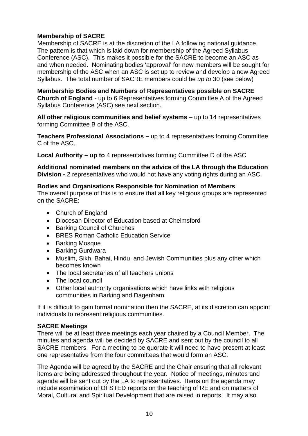#### **Membership of SACRE**

Membership of SACRE is at the discretion of the LA following national guidance. The pattern is that which is laid down for membership of the Agreed Syllabus Conference (ASC). This makes it possible for the SACRE to become an ASC as and when needed. Nominating bodies 'approval' for new members will be sought for membership of the ASC when an ASC is set up to review and develop a new Agreed Syllabus. The total number of SACRE members could be *up to* 30 (see below)

**Membership Bodies and Numbers of Representatives possible on SACRE Church of England** - up to 6 Representatives forming Committee A of the Agreed Syllabus Conference (ASC) see next section.

**All other religious communities and belief systems** – up to 14 representatives forming Committee B of the ASC.

**Teachers Professional Associations –** up to 4 representatives forming Committee C of the ASC.

**Local Authority – up to** 4 representatives forming Committee D of the ASC

**Additional nominated members on the advice of the LA through the Education Division -** 2 representatives who would not have any voting rights during an ASC.

#### **Bodies and Organisations Responsible for Nomination of Members**

The overall purpose of this is to ensure that all key religious groups are represented on the SACRE:

- Church of England
- Diocesan Director of Education based at Chelmsford
- Barking Council of Churches
- BRES Roman Catholic Education Service
- Barking Mosque
- Barking Gurdwara
- Muslim, Sikh, Bahai, Hindu, and Jewish Communities plus any other which becomes known
- The local secretaries of all teachers unions
- The local council
- Other local authority organisations which have links with religious communities in Barking and Dagenham

If it is difficult to gain formal nomination then the SACRE, at its discretion can appoint individuals to represent religious communities.

#### **SACRE Meetings**

There will be at least three meetings each year chaired by a Council Member. The minutes and agenda will be decided by SACRE and sent out by the council to all SACRE members. For a meeting to be quorate it will need to have present at least one representative from the four committees that would form an ASC.

The Agenda will be agreed by the SACRE and the Chair ensuring that all relevant items are being addressed throughout the year. Notice of meetings, minutes and agenda will be sent out by the LA to representatives. Items on the agenda may include examination of OFSTED reports on the teaching of RE and on matters of Moral, Cultural and Spiritual Development that are raised in reports. It may also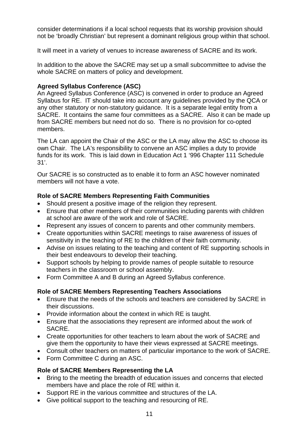consider determinations if a local school requests that its worship provision should not be 'broadly Christian' but represent a dominant religious group within that school.

It will meet in a variety of venues to increase awareness of SACRE and its work.

In addition to the above the SACRE may set up a small subcommittee to advise the whole SACRE on matters of policy and development.

#### **Agreed Syllabus Conference (ASC)**

An Agreed Syllabus Conference (ASC) is convened in order to produce an Agreed Syllabus for RE. IT should take into account any guidelines provided by the QCA or any other statutory or non-statutory guidance. It is a separate legal entity from a SACRE. It contains the same four committees as a SACRE. Also it can be made up from SACRE members but need not do so. There is no provision for co-opted members.

The LA can appoint the Chair of the ASC or the LA may allow the ASC to choose its own Chair. The LA's responsibility to convene an ASC implies a duty to provide funds for its work. This is laid down in Education Act 1 '996 Chapter 111 Schedule 31'.

Our SACRE is so constructed as to enable it to form an ASC however nominated members will not have a vote.

#### **Role of SACRE Members Representing Faith Communities**

- Should present a positive image of the religion they represent.
- Ensure that other members of their communities including parents with children at school are aware of the work and role of SACRE.
- Represent any issues of concern to parents and other community members.
- Create opportunities within SACRE meetings to raise awareness of issues of sensitivity in the teaching of RE to the children of their faith community.
- Advise on issues relating to the teaching and content of RE supporting schools in their best endeavours to develop their teaching.
- Support schools by helping to provide names of people suitable to resource teachers in the classroom or school assembly.
- Form Committee A and B during an Agreed Syllabus conference.

#### **Role of SACRE Members Representing Teachers Associations**

- Ensure that the needs of the schools and teachers are considered by SACRE in their discussions.
- Provide information about the context in which RE is taught.
- Ensure that the associations they represent are informed about the work of SACRE.
- Create opportunities for other teachers to learn about the work of SACRE and give them the opportunity to have their views expressed at SACRE meetings.
- Consult other teachers on matters of particular importance to the work of SACRE.
- Form Committee C during an ASC.

#### **Role of SACRE Members Representing the LA**

- Bring to the meeting the breadth of education issues and concerns that elected members have and place the role of RE within it.
- Support RE in the various committee and structures of the LA.
- Give political support to the teaching and resourcing of RE.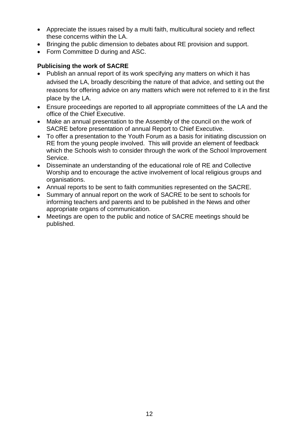- Appreciate the issues raised by a multi faith, multicultural society and reflect these concerns within the LA.
- Bringing the public dimension to debates about RE provision and support.
- Form Committee D during and ASC.

#### **Publicising the work of SACRE**

- Publish an annual report of its work specifying any matters on which it has advised the LA, broadly describing the nature of that advice, and setting out the reasons for offering advice on any matters which were not referred to it in the first place by the LA.
- Ensure proceedings are reported to all appropriate committees of the LA and the office of the Chief Executive.
- Make an annual presentation to the Assembly of the council on the work of SACRE before presentation of annual Report to Chief Executive.
- To offer a presentation to the Youth Forum as a basis for initiating discussion on RE from the young people involved. This will provide an element of feedback which the Schools wish to consider through the work of the School Improvement Service.
- Disseminate an understanding of the educational role of RE and Collective Worship and to encourage the active involvement of local religious groups and organisations.
- Annual reports to be sent to faith communities represented on the SACRE.
- Summary of annual report on the work of SACRE to be sent to schools for informing teachers and parents and to be published in the News and other appropriate organs of communication.
- Meetings are open to the public and notice of SACRE meetings should be published.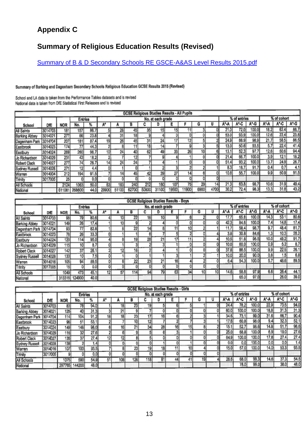## **Appendix C**

## **Summary of Religious Education Results (Revised)**

Summary of B & D Secondary Schools RE GSCE-A&AS Level Results 2015.pdf

#### Summary of Barking and Dagenham Secondary Schools Religious Education GCSE Results 2015 (Revised)

School and LA data is taken from the Performance Tables datasets and is revised National data is taken from DfE Statistical First Releases and is revised

|                     |         |            |                 |       |       |                 | <b>GCSE Religious Studies Results - All Pupils</b> |                 |                   |      |                 |                 |      |      |              |       |      |             |      |
|---------------------|---------|------------|-----------------|-------|-------|-----------------|----------------------------------------------------|-----------------|-------------------|------|-----------------|-----------------|------|------|--------------|-------|------|-------------|------|
|                     |         |            | <b>Entries</b>  |       |       |                 |                                                    |                 | No. at each grade |      |                 |                 |      |      | % of entries |       |      | % of cohort |      |
| School              | DÆ      | <b>NOR</b> | No.             | 7'n   |       |                 | B                                                  |                 |                   |      |                 |                 |      |      | A"-C         | A*-G  | А*-А | A°-C        | A*-G |
| All Saints          | 3014703 | 181        | 157             | 86.7  |       | 28              | 45                                                 | 35 <sub>l</sub> | 15                | 15   |                 |                 |      | 21.0 | 72.0         | 100.0 | 18.2 | 62.4        | 86.7 |
| Barking Abbey       | 3014021 | 277        | 66              | 23.8  |       | 31              | 18                                                 |                 |                   |      |                 |                 |      | 53.0 | 93.9         | 100.0 | 12.6 | 22.4        | 23.8 |
| Dagenham Park       | 3014704 | 207        | 181             | 87.4  | 19    | 26 <sub>1</sub> | 45                                                 | 31              | 24                |      | 12 <sub>1</sub> |                 |      | 24.9 | 66.9         | 98.9  | 21.7 | 58.5        | 86.5 |
| Eastbrook           | 3014023 | 174        | 77              | 44.3  |       |                 |                                                    | 18              |                   |      |                 |                 |      | 13.0 | 50.6         | 93.5  | 5.7  | 22.4        | 41.4 |
| Eastbury            | 3014024 | 269        | 260             | 96.7  | 10    | 24 i            | 40                                                 | 62              | 49                | 33   | 26              | 10 <sub>l</sub> |      | 13.1 | 52.3         | 97.7  | 12.6 | 50.6        | 94.4 |
| Jo Richardson       | 3014029 | 231        | 42              | 18.2  |       |                 | 12                                                 |                 |                   |      |                 |                 |      | 21.4 | 66.7         | 100.0 | 3.9  | 12.1        | 18.2 |
| <b>Robert Clack</b> | 3014027 | 277        | 74              | 26.7  | 14    | 24              | 24                                                 |                 |                   |      |                 |                 |      | 51.4 | 93.2         | 100.0 | 13.7 | 24.9        | 26.7 |
| Sydney Russell      | 3014028 | 271        | 12 <sub>1</sub> | 4.4   |       |                 |                                                    |                 |                   |      |                 |                 |      | 8.3  | 16.7         | 91.7  | 0.4  | 0.7         | 4.1  |
| Warren              | 3014004 | 212        | 194             | 91.5  |       | 14              | 45                                                 |                 | 39                | 27   | 4               |                 |      | 10.8 | 55.7         | 100.0 | 9.9  | 50.9        | 91.5 |
| Trinity             | 3017005 | 25         |                 | 0.0   |       |                 |                                                    |                 |                   |      | 0               |                 |      |      |              |       |      |             |      |
| All Schools         |         | 2124       | 1063            | 50.01 | 63    | 183             | 240                                                | 212             | 160               | 107  | 75              | 29              | 14   | 21.3 | 63.8         | 98.7  | 10.6 | 31.9        | 49.4 |
| National            |         | 611081     | 268600          | 44.0  | 29900 | 51100           | 62700                                              | 50800           | 31100             | 9500 | 1900            | 6900            | 4700 | 30.2 | 72.4         | 98.3  | 13.3 | 31.8        | 43.2 |

| <b>GCSE Religious Studies Results - Boys</b> |         |            |                 |      |                 |     |     |                 |                   |                 |    |    |  |       |              |        |      |             |      |
|----------------------------------------------|---------|------------|-----------------|------|-----------------|-----|-----|-----------------|-------------------|-----------------|----|----|--|-------|--------------|--------|------|-------------|------|
|                                              |         |            | <b>Entries</b>  |      |                 |     |     |                 | No. at each grade |                 |    |    |  |       | % of entries |        |      | % of cohort |      |
| School                                       | DÆ      | <b>NOR</b> | No.             |      |                 |     |     |                 |                   |                 |    |    |  |       | A*-C         | A*-G   |      | A"-C        | A*-G |
| All Saints                                   | 3014703 | 98         | 79              | 80.6 |                 | 101 | 22  | 16 <sub>l</sub> | 10                |                 |    |    |  | 17.1  | 65.8         | 100.0  | 14.3 | 53.1        | 80.6 |
| <b>Barking Abbey</b>                         | 3014021 | 149        | 26              | 17.4 |                 | 10  |     |                 |                   |                 |    |    |  | 42.3  | 84.6         | 100.01 | 7.4  | 14.8        | 17.4 |
| Dagenham Park 3014704                        |         | 93         | $\overline{77}$ | 82.8 |                 |     | 22  | 14              |                   |                 | 10 |    |  | 11.7  | 58.4         | 98.7   | 9.7  | 48.4        | 81.7 |
| Eastbrook                                    | 3014023 | 78         | 26              | 33.3 |                 |     |     |                 |                   |                 |    |    |  | 3.8   | 30.8         | 84.6   | 1.3  | 10.3        | 28.2 |
| Eastbury                                     | 3014024 | 120        | 114             | 95.0 |                 |     | 19  | 28              | 21                | 17 <sub>0</sub> |    |    |  | 10.5  | 51.8         | 96.5   | 10.0 | 49.2        | 91.7 |
| Jo Richardson                                | 3014029 | 115        | 10 <sub>1</sub> | 8.7  |                 |     |     |                 |                   |                 |    |    |  | 10.0  | 60.0         | 100.0  | 0.9  | 5.2         | 8.7  |
| <b>Robert Clack</b>                          | 3014027 | 142        | 37              | 26.7 |                 |     | 161 |                 |                   |                 |    |    |  | 37.8  | 86.5         | 100.0  | 9.9  | 22.5        | 26.1 |
| Sydney Russell                               | 3014028 | 133        | 10 <sub>1</sub> | 7.5  |                 |     |     |                 |                   |                 |    |    |  | 10.0  | 20.0         | 90.0   | 0.8  | 1.5         | 6,8  |
| Warren                                       | 3014016 | 105        | 94              | 89.5 |                 |     | 22  | 23              | 21                | 16              |    |    |  | 6.4   | 54.3         | 100.0  | 5.7  | 48.6        | 89.5 |
| Trinity                                      | 3017005 | 16         |                 | 0.0  |                 |     |     |                 |                   |                 |    |    |  |       |              |        |      |             |      |
| All Schools                                  |         | 1049       | 473             | 45.1 | 12 <sub>1</sub> | 57  | 114 | 94              | 79                | 63]             | 34 | 10 |  | 14.61 | 58.6         | 97.9   | 6.6  | 26.4        | 44.1 |
| National                                     |         | 313316     | 124900          | 40.0 |                 |     |     |                 |                   |                 |    |    |  |       | 65.0         | 97.01  |      | 26.0        | 39.0 |

|                       | <b>GCSE Religious Studies Results - Girls</b> |            |                |      |                 |                 |     |                 |                   |    |                 |    |  |      |                    |       |       |             |         |
|-----------------------|-----------------------------------------------|------------|----------------|------|-----------------|-----------------|-----|-----------------|-------------------|----|-----------------|----|--|------|--------------------|-------|-------|-------------|---------|
|                       |                                               |            | <b>Entries</b> |      |                 |                 |     |                 | No. at each grade |    |                 |    |  |      | % of entries       |       |       | % of cohort |         |
| School                | DÆ                                            | <b>NOR</b> | No.            |      |                 |                 |     |                 |                   |    |                 |    |  |      | A"-C               | A*-G  | A*-A  | A*-C        | $A - G$ |
| All Saints            | 3014703                                       | 83         | 78             | 94.0 |                 | 18              | 23  | 19              |                   |    |                 |    |  | 24.4 | 78.2               | 100.0 | 22.9  | 73.5        | 94.0    |
| <b>Barking Abbey</b>  | 3014021                                       | 128        | 40             | 31.3 |                 | 21              |     |                 |                   |    |                 |    |  | 60.0 | 100.0              | 100.0 | 18.8  | 31.3        | 31.3    |
| Dagenham Park 3014704 |                                               | 114        | 104            | 91.2 | 18              | 18 <sub>l</sub> | 23  | 17              | 16                |    |                 |    |  | 34.6 | 73.1               | 99.0  | 31.6  | 66.7        | 90.4    |
| Eastbrook             | 3014023                                       | 96         | 51             | 53.  | n               |                 | 10  | 12 <sub>1</sub> |                   |    |                 |    |  | 17.6 | 60.8               | 98.0  | 9.4   | 32.3        | 52.1    |
| Eastbury              | 3014024                                       | 149        | 146            | 98.0 |                 | 16              | 21  | 34              | 28                | 16 | 15              |    |  | 15.1 | 52.7               | 98.6  | 14.8  | 51.7        | 96.6    |
| Jo Richardson         | 3014029                                       | 116        | 32             | 27.6 |                 | ы               |     |                 |                   |    |                 |    |  | 25.0 | 68.8               | 100.0 | 6.9   | 19.0        | 27.6    |
| Robert Clack          | 3014027                                       | 135        | 37             | 27.4 | 12 <sub>1</sub> | 12 <sub>1</sub> |     |                 |                   |    |                 |    |  | 64.9 | 100.0 <sub>1</sub> | 100.0 | 17.8  | 27.4        | 27.4    |
| <b>Sydney Russell</b> | 3014028                                       | 138        |                | 1.4  |                 | ٥ı              |     |                 |                   |    |                 |    |  | 0.0  | 0.0                | 100.0 | 0.0   | 0.0         | 1.4     |
| Warren                | 3014016                                       | 107        | 100            | 93.5 |                 | 81              | 23  | 19              | 18                |    | 10 <sub>1</sub> |    |  | 15.0 | 57.0               | 100.0 | 14.01 | 53.3        | 93.5    |
| Trinity               | 3017005                                       | 9          |                | 0.0  |                 |                 |     |                 |                   |    |                 |    |  |      |                    |       |       |             |         |
| All Schools           |                                               | 1075       | 590            | 54.9 | 51              | 106             | 126 | 118             | 81                | 44 | 41              | 19 |  | 26.6 | 68.0               | 99.3  | 14.6  | 37.3        | 54.5    |
| National              |                                               | 297765     | 144200         | 48.0 |                 |                 |     |                 |                   |    |                 |    |  |      | 78.0               | 99.0  |       | 38.0        | 48.0    |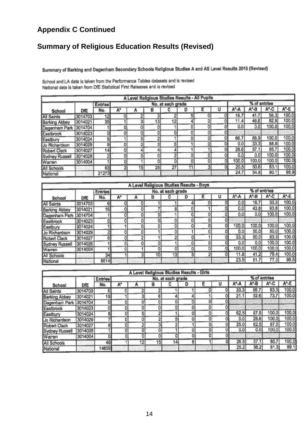## **Appendix C Continued**

## **Summary of Religious Education Results (Revised)**

Summary of Barking and Dagenham Secondary Schools Religious Studies A and AS Level Results 2015 (Revised)

|                       |         |                |    |    |    |                   |    | A Level Religious Studies Results - All Pupils |    |         |              |       |        |
|-----------------------|---------|----------------|----|----|----|-------------------|----|------------------------------------------------|----|---------|--------------|-------|--------|
|                       |         | <b>Entries</b> |    |    |    | No. at each grade |    |                                                |    |         | % of entries |       |        |
| School                | DÆ      | No.            |    |    | B  |                   | D  |                                                |    |         |              | A*-C  | $A^*E$ |
| <b>All Saints</b>     | 3014703 | 12             | o  |    | з  |                   | 51 |                                                | 01 | 16.7    | 41.7         | 58.3  | 100.0  |
| <b>Barking Abbey</b>  | 3014021 | 35             |    | 3  | 13 | 12                |    | 2                                              | 01 | 11.4    | 48.6         | 82.9  | 100.0  |
| Dagenham Park         | 3014704 |                | 0  | 0  | 0  |                   | 0  |                                                | 01 | 0.0     | 0.0          | 100.0 | 100.0  |
| Eastbrook             | 3014023 | o              | Ō  | 0  | 0  | 0                 | 0  |                                                | 01 |         |              |       |        |
| Eastbury              | 3014024 | g,             |    | 5  | 2  |                   | 0  |                                                | 0  | 66.7    | 88.9         | 100.0 | 100.0  |
| Jo Richardson         | 3014029 | 9              | Ò  | ō  | 3  | 5                 |    | O.                                             | 0  | 0.0     | 33.3         | 88.9  | 100.0  |
| Robert Clack          | 3014027 | 14             | 01 |    | 4  |                   |    |                                                | 0  | 28.6    | 57.1         | 85.7  | 100.0  |
| <b>Sydney Russell</b> | 3014028 | 2              | 0  | 0  | 0  | 2                 | 0  | 0                                              | 0  | $0.0\,$ | 0.0          | 100.0 | 100.0  |
| Warren                | 3014004 |                | ol |    | 0  | ٥I                | 0  | 0                                              | 0  | 100.0   | 100.0        | 100.0 | 100.0  |
| All Schools           |         | 83             | 2  | 15 | 25 | 27                | 11 | 3                                              | 01 | 20.5    | 50.6         | 83.1  | 100.0  |
| National              |         | 21273          |    |    |    |                   |    |                                                |    | 24.7    | 54.8         | 80.1  | 98.9   |

School and LA data is taken from the Performance Tables datasets and is revised National data is taken from DfE Statistical First Releases and is revised

| A Level Religious Studies Results - Boys |         |         |    |    |    |                   |    |                |    |       |              |       |                   |  |
|------------------------------------------|---------|---------|----|----|----|-------------------|----|----------------|----|-------|--------------|-------|-------------------|--|
|                                          |         | Entries |    |    |    | No. at each grade |    |                |    |       | % of entries |       |                   |  |
| School                                   | DÆ      | No.     | A۰ |    | в  |                   | D  |                |    | А*-А  | А*-В         | A*-C  | A <sup>*</sup> -E |  |
| All Saints                               | 3014703 | 6       | o  |    |    |                   | 41 | 0              | 0  | 0.0   | 16.7         | 33.3  | 00.0              |  |
| <b>Barking Abbey</b>                     | 3014021 | 16      | 0  |    |    | 8                 | O. |                | 01 | 0.01  | 43.8         | 93.8  | 00.0              |  |
| Dagenham Park                            | 3014704 |         | 0  |    | 0  |                   | 0  | 01             | 0  | 0.0   | 0.0          | 100.0 | 100.0             |  |
| Eastbrook                                | 3014023 | 0       |    |    | o  |                   | 0  |                | 0  |       |              |       |                   |  |
| Eastbury                                 | 3014024 |         |    |    | 0  |                   | 0  | 0              | 0  | 100.0 | 100.0        | 100.0 | 100.0             |  |
| Jo Richardson                            | 3014029 | 2       |    | 0  |    |                   |    | o              | O  | 0.0   | 50.0         | 50,0  | 100.0             |  |
| Robert Clack                             | 3014027 | 6       | 0  | o  |    | 2                 | 0  |                | o  | 33.3  | 50.0         | 83.3  | 100.0             |  |
| Sydney Russell                           | 3014028 |         | 0  |    | 0  |                   | 0  | 0              | o  | 0.0   | 0.0          | 100.0 | 100.0             |  |
| <b>Warren</b>                            | 3014004 |         |    |    | 0  | 0                 | 0  | ٥I             | 0  | 100.0 | 100.0        | 100.0 | 100.0             |  |
| All Schools                              |         | 34      |    | 31 | 10 | 13                | 5  | $\overline{2}$ | 0  | 11.8  | 41.2         | 79.4  | 100.0             |  |
| National                                 |         | 6614    |    |    |    |                   |    |                |    | 23.5  | 51,7         | 77.3  | 98.5              |  |

| A Level Religious Studies Results - Girls |         |         |    |    |    |                   |    |   |    |       |              |       |       |  |
|-------------------------------------------|---------|---------|----|----|----|-------------------|----|---|----|-------|--------------|-------|-------|--|
|                                           |         | Entries |    |    |    | No. at each grade |    |   |    |       | % of entries |       |       |  |
| School                                    | DfE     | No.     | A* |    | в  |                   | D  |   |    | A-A   | A*-B         | A*-C  | A*-E  |  |
| <b>All Saints</b>                         | 3014703 |         | 0  |    | 2  |                   |    |   | 01 | 33.3  | 66.7         | 83.3  | 100.0 |  |
| <b>Barking Abbey</b>                      | 3014021 | 19      |    |    | 6  |                   | 4  |   | 이  | 21.1  | 52.6         | 73.7  | 100.0 |  |
| Dagenham Park 3014704                     |         | o       |    | o  | 0  | ō                 | ٥I |   | 01 |       |              |       |       |  |
| Eastbrook                                 | 3014023 |         |    | o  | 0  | O.                | 0  | 0 | 0  |       |              |       |       |  |
| Eastbury                                  | 3014024 | 8       |    |    | 2  |                   | 0  | 0 | 이  | 62.5  | 87.5         | 100.0 | 100.0 |  |
| Jo Richardson                             | 3014029 |         |    |    | 2  | 5                 | 0  |   | o  | 0.0   | 28.6         | 100.0 | 100.0 |  |
| Robert Clack                              | 3014027 | 8ì      |    |    | 3  | 2                 |    |   | 0  | 25.0  | 62.5         | 87.5  | 100.0 |  |
| Sydney Russell                            | 3014028 |         |    |    | 0  |                   | 0  | 0 |    | 0.0   | 0.0          | 100.0 | 100.0 |  |
| <b>Warren</b>                             | 3014004 | 01      | 0  | 01 | 0  |                   | 0  |   | 0  |       |              |       |       |  |
| All Schools                               |         | 49      |    | 12 | 15 | 14 <sub>1</sub>   | 6  |   | ol | 26.5' | 57.1         | 85.7  | 100.0 |  |
| National                                  |         | 14659   |    |    |    |                   |    |   |    | 25.2  | 56.2         | 81.3  | 99.1  |  |